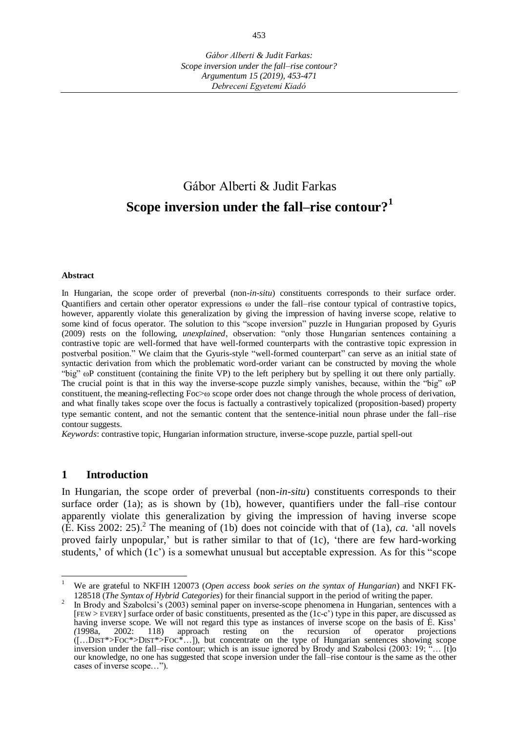# Gábor Alberti & Judit Farkas **Scope inversion under the fall–rise contour?<sup>1</sup>**

#### **Abstract**

In Hungarian, the scope order of preverbal (non-*in-situ*) constituents corresponds to their surface order. Quantifiers and certain other operator expressions ω under the fall–rise contour typical of contrastive topics, however, apparently violate this generalization by giving the impression of having inverse scope, relative to some kind of focus operator. The solution to this "scope inversion" puzzle in Hungarian proposed by Gyuris (2009) rests on the following, *unexplained*, observation: "only those Hungarian sentences containing a contrastive topic are well-formed that have well-formed counterparts with the contrastive topic expression in postverbal position." We claim that the Gyuris-style "well-formed counterpart" can serve as an initial state of syntactic derivation from which the problematic word-order variant can be constructed by moving the whole "big" ωP constituent (containing the finite VP) to the left periphery but by spelling it out there only partially. The crucial point is that in this way the inverse-scope puzzle simply vanishes, because, within the "big"  $\omega P$ constituent, the meaning-reflecting Foc>ω scope order does not change through the whole process of derivation, and what finally takes scope over the focus is factually a contrastively topicalized (proposition-based) property type semantic content, and not the semantic content that the sentence-initial noun phrase under the fall–rise contour suggests.

*Keywords*: contrastive topic, Hungarian information structure, inverse-scope puzzle, partial spell-out

## **1 Introduction**

 $\overline{a}$ 

In Hungarian, the scope order of preverbal (non-*in-situ*) constituents corresponds to their surface order (1a); as is shown by (1b), however, quantifiers under the fall–rise contour apparently violate this generalization by giving the impression of having inverse scope  $(\hat{E}$ . Kiss 2002: 25).<sup>2</sup> The meaning of (1b) does not coincide with that of (1a), *ca.* 'all novels proved fairly unpopular,' but is rather similar to that of (1c), 'there are few hard-working students,' of which (1c') is a somewhat unusual but acceptable expression. As for this "scope

<sup>1</sup> We are grateful to NKFIH 120073 (*Open access book series on the syntax of Hungarian*) and NKFI FK-128518 (*The Syntax of Hybrid Categories*) for their financial support in the period of writing the paper.

<sup>2</sup> In Brody and Szabolcsi's (2003) seminal paper on inverse-scope phenomena in Hungarian, sentences with a [FEW > EVERY] surface order of basic constituents, presented as the (1c-c') type in this paper, are discussed as having inverse scope. We will not regard this type as instances of inverse scope on the basis of É. Kiss' (1998a, 2002: 118) approach resting on the recursion of operator projections approach resting on the recursion of operator projections ([…DIST\*>FOC\*>DIST\*>FOC\*…]), but concentrate on the type of Hungarian sentences showing scope inversion under the fall–rise contour; which is an issue ignored by Brody and Szabolcsi (2003: 19; "… [t]o our knowledge, no one has suggested that scope inversion under the fall–rise contour is the same as the other cases of inverse scope…").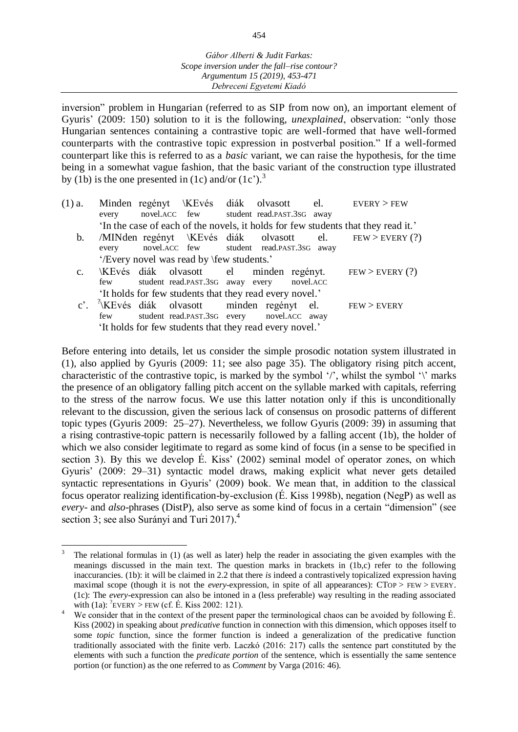inversion" problem in Hungarian (referred to as SIP from now on), an important element of Gyuris' (2009: 150) solution to it is the following, *unexplained*, observation: "only those Hungarian sentences containing a contrastive topic are well-formed that have well-formed counterparts with the contrastive topic expression in postverbal position." If a well-formed counterpart like this is referred to as a *basic* variant, we can raise the hypothesis, for the time being in a somewhat vague fashion, that the basic variant of the construction type illustrated by (1b) is the one presented in (1c) and/or  $(1c')$ .<sup>3</sup>

| $(1)$ a.      | every |                                           | novel.ACC few student read.PAST.3SG away                | Minden regényt \KEvés diák olvasott el. EVERY>FEW                                 |
|---------------|-------|-------------------------------------------|---------------------------------------------------------|-----------------------------------------------------------------------------------|
|               |       |                                           |                                                         | 'In the case of each of the novels, it holds for few students that they read it.' |
| $b_{1}$       | every |                                           | novel.ACC few student read.PAST.3SG away                | /MINden regényt \KEvés diák olvasott el. FEW > EVERY (?)                          |
|               |       | '/Every novel was read by \few students.' |                                                         |                                                                                   |
| $C_{\bullet}$ |       |                                           |                                                         | \KEvés diák olvasott el minden regényt. FEW > EVERY (?)                           |
|               | few   |                                           | student read.PAST.3SG away every novel.ACC              |                                                                                   |
|               |       |                                           | 'It holds for few students that they read every novel.' |                                                                                   |
|               |       |                                           |                                                         | c'. KEvés diák olvasott minden regényt el. FEW > EVERY                            |
|               | few   |                                           | student read.PAST.3SG every novel.ACC away              |                                                                                   |

'It holds for few students that they read every novel.'

Before entering into details, let us consider the simple prosodic notation system illustrated in (1), also applied by Gyuris (2009: 11; see also page 35). The obligatory rising pitch accent, characteristic of the contrastive topic, is marked by the symbol '/', whilst the symbol ' $\gamma$ ' marks the presence of an obligatory falling pitch accent on the syllable marked with capitals, referring to the stress of the narrow focus. We use this latter notation only if this is unconditionally relevant to the discussion, given the serious lack of consensus on prosodic patterns of different topic types (Gyuris 2009: 25–27). Nevertheless, we follow Gyuris (2009: 39) in assuming that a rising contrastive-topic pattern is necessarily followed by a falling accent (1b), the holder of which we also consider legitimate to regard as some kind of focus (in a sense to be specified in section 3). By this we develop É. Kiss' (2002) seminal model of operator zones, on which Gyuris' (2009: 29–31) syntactic model draws, making explicit what never gets detailed syntactic representations in Gyuris' (2009) book. We mean that, in addition to the classical focus operator realizing identification-by-exclusion (É. Kiss 1998b), negation (NegP) as well as *every*- and *also*-phrases (DistP), also serve as some kind of focus in a certain "dimension" (see section 3; see also Surányi and Turi 2017). 4

l 3 The relational formulas in (1) (as well as later) help the reader in associating the given examples with the meanings discussed in the main text. The question marks in brackets in (1b,c) refer to the following inaccurancies. (1b): it will be claimed in 2.2 that there *is* indeed a contrastively topicalized expression having maximal scope (though it is not the *every*-expression, in spite of all appearances): CTOP > FEW > EVERY. (1c): The *every*-expression can also be intoned in a (less preferable) way resulting in the reading associated with (1a):  ${}^{2}$ EVERY > FEW (cf. É. Kiss 2002: 121).

<sup>&</sup>lt;sup>4</sup> We consider that in the context of the present paper the terminological chaos can be avoided by following É. Kiss (2002) in speaking about *predicative* function in connection with this dimension, which opposes itself to some *topic* function, since the former function is indeed a generalization of the predicative function traditionally associated with the finite verb. Laczkó (2016: 217) calls the sentence part constituted by the elements with such a function the *predicate portion* of the sentence, which is essentially the same sentence portion (or function) as the one referred to as *Comment* by Varga (2016: 46).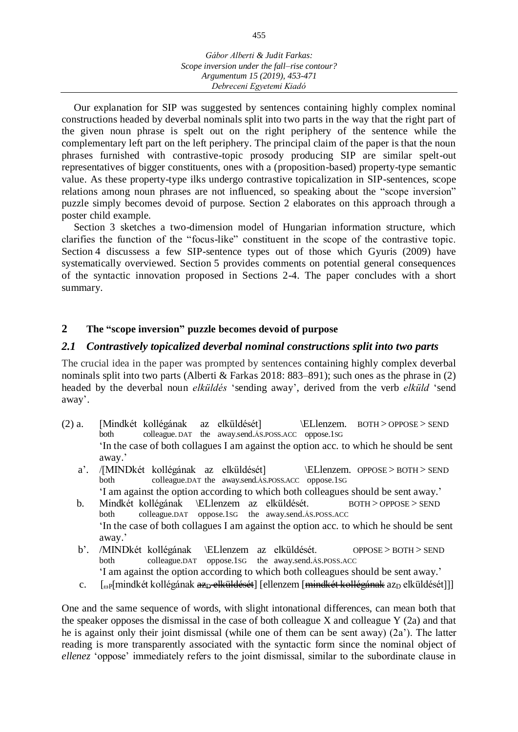Our explanation for SIP was suggested by sentences containing highly complex nominal constructions headed by deverbal nominals split into two parts in the way that the right part of the given noun phrase is spelt out on the right periphery of the sentence while the complementary left part on the left periphery. The principal claim of the paper is that the noun phrases furnished with contrastive-topic prosody producing SIP are similar spelt-out representatives of bigger constituents, ones with a (proposition-based) property-type semantic value. As these property-type ilks undergo contrastive topicalization in SIP-sentences, scope relations among noun phrases are not influenced, so speaking about the "scope inversion" puzzle simply becomes devoid of purpose. Section 2 elaborates on this approach through a poster child example.

Section 3 sketches a two-dimension model of Hungarian information structure, which clarifies the function of the "focus-like" constituent in the scope of the contrastive topic. Section 4 discussess a few SIP-sentence types out of those which Gyuris (2009) have systematically overviewed. Section 5 provides comments on potential general consequences of the syntactic innovation proposed in Sections 2-4. The paper concludes with a short summary.

# **2 The "scope inversion" puzzle becomes devoid of purpose**

# *2.1 Contrastively topicalized deverbal nominal constructions split into two parts*

The crucial idea in the paper was prompted by sentences containing highly complex deverbal nominals split into two parts (Alberti & Farkas 2018: 883–891); such ones as the phrase in (2) headed by the deverbal noun *elküldés* 'sending away', derived from the verb *elküld* 'send away'.

- (2) a. [Mindkét kollégának az elküldését] \ELlenzem. BOTH > OPPOSE > SEND both colleague. DAT the away.send.ÁS.POSS.ACC oppose.1SG 'In the case of both collagues I am against the option acc. to which he should be sent away.'
	- a'. /[MINDkét kollégának az elküldését] \ELlenzem. OPPOSE > BOTH > SEND both colleague.DAT the away.send.ÁS.POSS.ACC oppose.1SG 'I am against the option according to which both colleagues should be sent away.'
	- b. Mindkét kollégának \ELlenzem az elküldését. BOTH > OPPOSE > SEND both colleague.DAT oppose.1SG the away.send.ÁS.POSS.ACC 'In the case of both collagues I am against the option acc. to which he should be sent away.'
	- b'. /MINDkét kollégának \ELlenzem az elküldését. OPPOSE > BOTH > SEND both colleague.DAT oppose.1SG the away.send.ÁS.POSS.ACC 'I am against the option according to which both colleagues should be sent away.'
	- c.  $\left[\begin{array}{cc} \left[\begin{array}{c}\alpha\end{array}\right]\right]$ mindkét kollégának az $\left[\begin{array}{c}\beta\end{array}\right]$  elküldését]]

One and the same sequence of words, with slight intonational differences, can mean both that the speaker opposes the dismissal in the case of both colleague X and colleague  $Y(2a)$  and that he is against only their joint dismissal (while one of them can be sent away) (2a'). The latter reading is more transparently associated with the syntactic form since the nominal object of *ellenez* 'oppose' immediately refers to the joint dismissal, similar to the subordinate clause in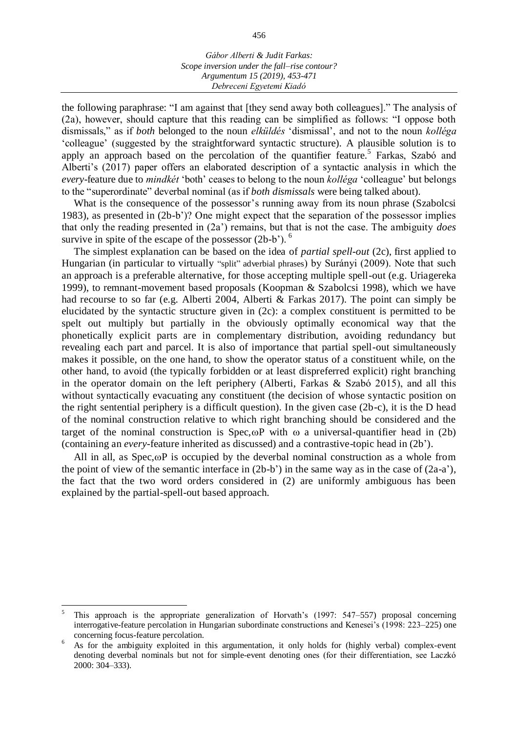the following paraphrase: "I am against that [they send away both colleagues]." The analysis of (2a), however, should capture that this reading can be simplified as follows: "I oppose both dismissals," as if *both* belonged to the noun *elküldés* 'dismissal', and not to the noun *kolléga* 'colleague' (suggested by the straightforward syntactic structure). A plausible solution is to apply an approach based on the percolation of the quantifier feature.<sup>5</sup> Farkas, Szabó and Alberti's (2017) paper offers an elaborated description of a syntactic analysis in which the *every*-feature due to *mindkét* 'both' ceases to belong to the noun *kolléga* 'colleague' but belongs to the "superordinate" deverbal nominal (as if *both dismissals* were being talked about).

What is the consequence of the possessor's running away from its noun phrase (Szabolcsi 1983), as presented in (2b-b')? One might expect that the separation of the possessor implies that only the reading presented in (2a') remains, but that is not the case. The ambiguity *does* survive in spite of the escape of the possessor  $(2b-b)$ <sup>6</sup>.

The simplest explanation can be based on the idea of *partial spell-out* (2c), first applied to Hungarian (in particular to virtually "split" adverbial phrases) by Surányi (2009). Note that such an approach is a preferable alternative, for those accepting multiple spell-out (e.g. Uriagereka 1999), to remnant-movement based proposals (Koopman & Szabolcsi 1998), which we have had recourse to so far (e.g. Alberti 2004, Alberti & Farkas 2017). The point can simply be elucidated by the syntactic structure given in (2c): a complex constituent is permitted to be spelt out multiply but partially in the obviously optimally economical way that the phonetically explicit parts are in complementary distribution, avoiding redundancy but revealing each part and parcel. It is also of importance that partial spell-out simultaneously makes it possible, on the one hand, to show the operator status of a constituent while, on the other hand, to avoid (the typically forbidden or at least dispreferred explicit) right branching in the operator domain on the left periphery (Alberti, Farkas & Szabó 2015), and all this without syntactically evacuating any constituent (the decision of whose syntactic position on the right sentential periphery is a difficult question). In the given case (2b-c), it is the D head of the nominal construction relative to which right branching should be considered and the target of the nominal construction is  $Spec, \omega P$  with  $\omega$  a universal-quantifier head in (2b) (containing an *every*-feature inherited as discussed) and a contrastive-topic head in (2b').

All in all, as  $Spec, \omega P$  is occupied by the deverbal nominal construction as a whole from the point of view of the semantic interface in (2b-b') in the same way as in the case of (2a-a'), the fact that the two word orders considered in (2) are uniformly ambiguous has been explained by the partial-spell-out based approach.

 $\overline{a}$ 

<sup>5</sup> This approach is the appropriate generalization of Horvath's (1997: 547–557) proposal concerning interrogative-feature percolation in Hungarian subordinate constructions and Kenesei's (1998: 223–225) one concerning focus-feature percolation.

<sup>&</sup>lt;sup>6</sup> As for the ambiguity exploited in this argumentation, it only holds for (highly verbal) complex-event denoting deverbal nominals but not for simple-event denoting ones (for their differentiation, see Laczkó 2000: 304–333).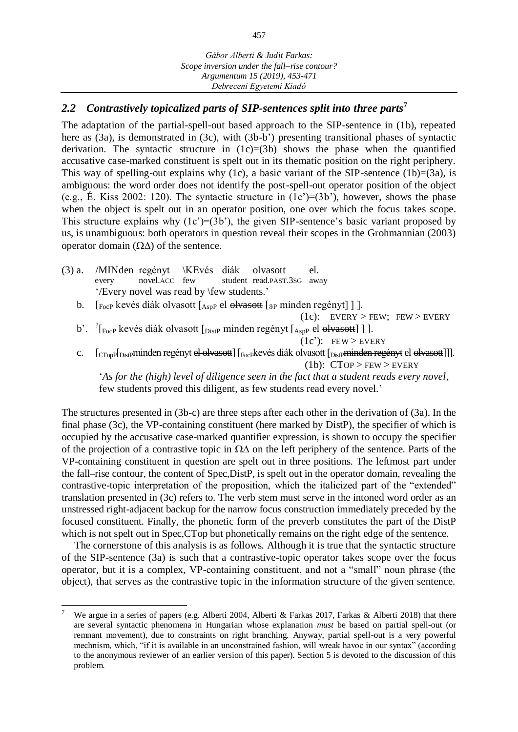# *2.2 Contrastively topicalized parts of SIP-sentences split into three parts***<sup>7</sup>**

The adaptation of the partial-spell-out based approach to the SIP-sentence in (1b), repeated here as (3a), is demonstrated in (3c), with (3b-b') presenting transitional phases of syntactic derivation. The syntactic structure in  $(1c)=(3b)$  shows the phase when the quantified accusative case-marked constituent is spelt out in its thematic position on the right periphery. This way of spelling-out explains why (1c), a basic variant of the SIP-sentence (1b)=(3a), is ambiguous: the word order does not identify the post-spell-out operator position of the object (e.g., É. Kiss 2002: 120). The syntactic structure in  $(1c)=(3b)$ , however, shows the phase when the object is spelt out in an operator position, one over which the focus takes scope. This structure explains why  $(1c')=(3b')$ , the given SIP-sentence's basic variant proposed by us, is unambiguous: both operators in question reveal their scopes in the Grohmannian (2003) operator domain  $(\Omega \Delta)$  of the sentence.

- (3) a. /MINden regényt \KEvés diák olvasott el.<br>every novel.ACC few student read.PAST.3SG aw every novel.ACC few student read.PAST.3SG away '/Every novel was read by \few students.'
	- b. [FocP kevés diák olvasott [AspP el olvasott [3P minden regényt]].

 $(1c)$ : EVERY > FEW; FEW > EVERY

b'. <sup>?</sup>[<sub>FocP</sub> kevés diák olvasott [<sub>DistP</sub> minden regényt [<sub>AspP</sub> el <del>olvasott</del>] ] ].

c. [CTopP[Distpminden regényt el olvasott] [Focpkevés diák olvasott [Distpminden regényt el olvasott]]]. (1b):  $CTop > FEW > EVERY$ 

'*As for the (high) level of diligence seen in the fact that a student reads every novel*, few students proved this diligent, as few students read every novel.'

The structures presented in (3b-c) are three steps after each other in the derivation of (3a). In the final phase (3c), the VP-containing constituent (here marked by DistP), the specifier of which is occupied by the accusative case-marked quantifier expression, is shown to occupy the specifier of the projection of a contrastive topic in  $\Omega\Delta$  on the left periphery of the sentence. Parts of the VP-containing constituent in question are spelt out in three positions. The leftmost part under the fall–rise contour, the content of Spec,DistP, is spelt out in the operator domain, revealing the contrastive-topic interpretation of the proposition, which the italicized part of the "extended" translation presented in (3c) refers to. The verb stem must serve in the intoned word order as an unstressed right-adjacent backup for the narrow focus construction immediately preceded by the focused constituent. Finally, the phonetic form of the preverb constitutes the part of the DistP which is not spelt out in Spec,CTop but phonetically remains on the right edge of the sentence.

The cornerstone of this analysis is as follows. Although it is true that the syntactic structure of the SIP-sentence (3a) is such that a contrastive-topic operator takes scope over the focus operator, but it is a complex, VP-containing constituent, and not a "small" noun phrase (the object), that serves as the contrastive topic in the information structure of the given sentence.

 $(1c')$ : FEW > EVERY

 $\overline{a}$ <sup>7</sup> We argue in a series of papers (e.g. Alberti 2004, Alberti & Farkas 2017, Farkas & Alberti 2018) that there are several syntactic phenomena in Hungarian whose explanation *must* be based on partial spell-out (or remnant movement), due to constraints on right branching. Anyway, partial spell-out is a very powerful mechnism, which, "if it is available in an unconstrained fashion, will wreak havoc in our syntax" (according to the anonymous reviewer of an earlier version of this paper). Section 5 is devoted to the discussion of this problem.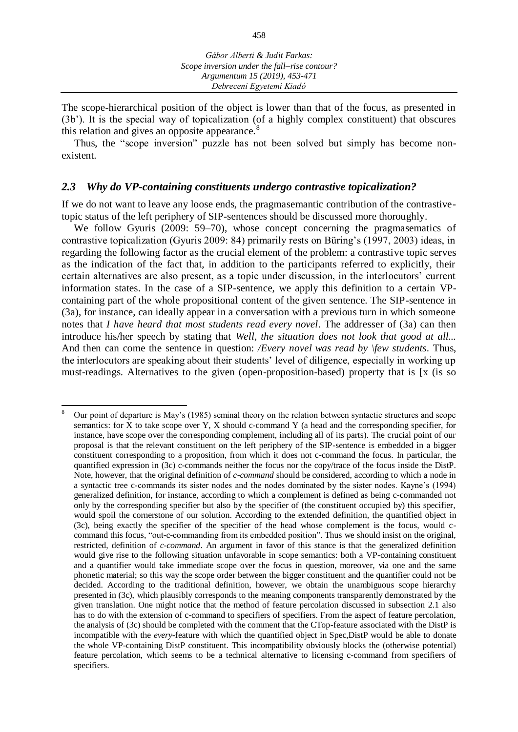The scope-hierarchical position of the object is lower than that of the focus, as presented in (3b'). It is the special way of topicalization (of a highly complex constituent) that obscures this relation and gives an opposite appearance. $8$ 

Thus, the "scope inversion" puzzle has not been solved but simply has become nonexistent.

## *2.3 Why do VP-containing constituents undergo contrastive topicalization?*

If we do not want to leave any loose ends, the pragmasemantic contribution of the contrastivetopic status of the left periphery of SIP-sentences should be discussed more thoroughly.

We follow Gyuris (2009: 59–70), whose concept concerning the pragmasematics of contrastive topicalization (Gyuris 2009: 84) primarily rests on Büring's (1997, 2003) ideas, in regarding the following factor as the crucial element of the problem: a contrastive topic serves as the indication of the fact that, in addition to the participants referred to explicitly, their certain alternatives are also present, as a topic under discussion, in the interlocutors' current information states. In the case of a SIP-sentence, we apply this definition to a certain VPcontaining part of the whole propositional content of the given sentence. The SIP-sentence in (3a), for instance, can ideally appear in a conversation with a previous turn in which someone notes that *I have heard that most students read every novel*. The addresser of (3a) can then introduce his/her speech by stating that *Well, the situation does not look that good at all...* And then can come the sentence in question: */Every novel was read by \few students*. Thus, the interlocutors are speaking about their students' level of diligence, especially in working up must-readings. Alternatives to the given (open-proposition-based) property that is [x (is so

 $\overline{a}$ <sup>8</sup> Our point of departure is May's (1985) seminal theory on the relation between syntactic structures and scope semantics: for  $\overline{X}$  to take scope over  $\overline{Y}$ ,  $\overline{X}$  should c-command  $\overline{Y}$  (a head and the corresponding specifier, for instance, have scope over the corresponding complement, including all of its parts). The crucial point of our proposal is that the relevant constituent on the left periphery of the SIP-sentence is embedded in a bigger constituent corresponding to a proposition, from which it does not c-command the focus. In particular, the quantified expression in (3c) c-commands neither the focus nor the copy/trace of the focus inside the DistP. Note, however, that the original definition of *c-command* should be considered, according to which a node in a syntactic tree c-commands its sister nodes and the nodes dominated by the sister nodes. Kayne's (1994) generalized definition, for instance, according to which a complement is defined as being c-commanded not only by the corresponding specifier but also by the specifier of (the constituent occupied by) this specifier, would spoil the cornerstone of our solution. According to the extended definition, the quantified object in (3c), being exactly the specifier of the specifier of the head whose complement is the focus, would ccommand this focus, "out-c-commanding from its embedded position". Thus we should insist on the original, restricted, definition of *c-command*. An argument in favor of this stance is that the generalized definition would give rise to the following situation unfavorable in scope semantics: both a VP-containing constituent and a quantifier would take immediate scope over the focus in question, moreover, via one and the same phonetic material; so this way the scope order between the bigger constituent and the quantifier could not be decided. According to the traditional definition, however, we obtain the unambiguous scope hierarchy presented in (3c), which plausibly corresponds to the meaning components transparently demonstrated by the given translation. One might notice that the method of feature percolation discussed in subsection 2.1 also has to do with the extension of c-command to specifiers of specifiers. From the aspect of feature percolation, the analysis of (3c) should be completed with the comment that the CTop-feature associated with the DistP is incompatible with the *every*-feature with which the quantified object in Spec,DistP would be able to donate the whole VP-containing DistP constituent. This incompatibility obviously blocks the (otherwise potential) feature percolation, which seems to be a technical alternative to licensing c-command from specifiers of specifiers.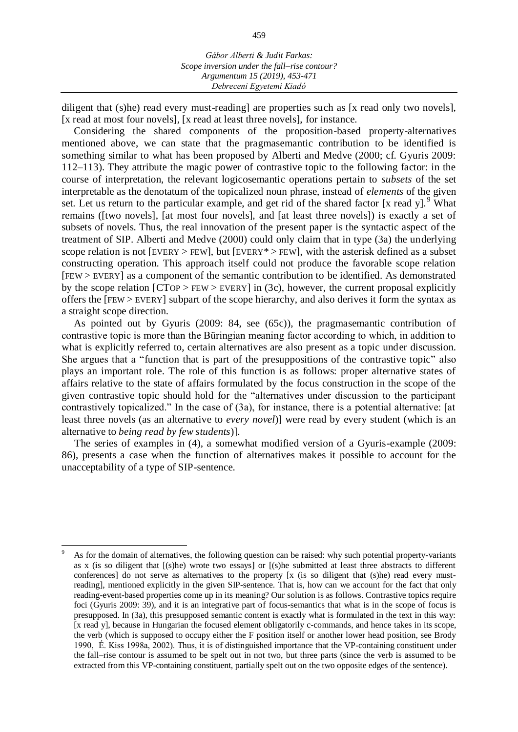diligent that (s)he) read every must-reading] are properties such as [x read only two novels], [x read at most four novels], [x read at least three novels], for instance.

Considering the shared components of the proposition-based property-alternatives mentioned above, we can state that the pragmasemantic contribution to be identified is something similar to what has been proposed by Alberti and Medve (2000; cf. Gyuris 2009: 112–113). They attribute the magic power of contrastive topic to the following factor: in the course of interpretation, the relevant logicosemantic operations pertain to *subsets* of the set interpretable as the denotatum of the topicalized noun phrase, instead of *elements* of the given set. Let us return to the particular example, and get rid of the shared factor [x read y]. <sup>9</sup> What remains ([two novels], [at most four novels], and [at least three novels]) is exactly a set of subsets of novels. Thus, the real innovation of the present paper is the syntactic aspect of the treatment of SIP. Alberti and Medve (2000) could only claim that in type (3a) the underlying scope relation is not [EVERY > FEW], but [EVERY\* > FEW], with the asterisk defined as a subset constructing operation. This approach itself could not produce the favorable scope relation [FEW > EVERY] as a component of the semantic contribution to be identified. As demonstrated by the scope relation  $[CTOP > FEW > EVERY]$  in (3c), however, the current proposal explicitly offers the [FEW > EVERY] subpart of the scope hierarchy, and also derives it form the syntax as a straight scope direction.

As pointed out by Gyuris (2009: 84, see (65c)), the pragmasemantic contribution of contrastive topic is more than the Büringian meaning factor according to which, in addition to what is explicitly referred to, certain alternatives are also present as a topic under discussion. She argues that a "function that is part of the presuppositions of the contrastive topic" also plays an important role. The role of this function is as follows: proper alternative states of affairs relative to the state of affairs formulated by the focus construction in the scope of the given contrastive topic should hold for the "alternatives under discussion to the participant contrastively topicalized." In the case of (3a), for instance, there is a potential alternative: [at least three novels (as an alternative to *every novel*)] were read by every student (which is an alternative to *being read by few students*)].

The series of examples in (4), a somewhat modified version of a Gyuris-example (2009: 86), presents a case when the function of alternatives makes it possible to account for the unacceptability of a type of SIP-sentence.

l As for the domain of alternatives, the following question can be raised: why such potential property-variants as x (is so diligent that [(s)he) wrote two essays] or [(s)he submitted at least three abstracts to different conferences] do not serve as alternatives to the property [x (is so diligent that (s)he) read every mustreading], mentioned explicitly in the given SIP-sentence. That is, how can we account for the fact that only reading-event-based properties come up in its meaning? Our solution is as follows. Contrastive topics require foci (Gyuris 2009: 39), and it is an integrative part of focus-semantics that what is in the scope of focus is presupposed. In (3a), this presupposed semantic content is exactly what is formulated in the text in this way: [x read y], because in Hungarian the focused element obligatorily c-commands, and hence takes in its scope, the verb (which is supposed to occupy either the F position itself or another lower head position, see Brody 1990, É. Kiss 1998a, 2002). Thus, it is of distinguished importance that the VP-containing constituent under the fall–rise contour is assumed to be spelt out in not two, but three parts (since the verb is assumed to be extracted from this VP-containing constituent, partially spelt out on the two opposite edges of the sentence).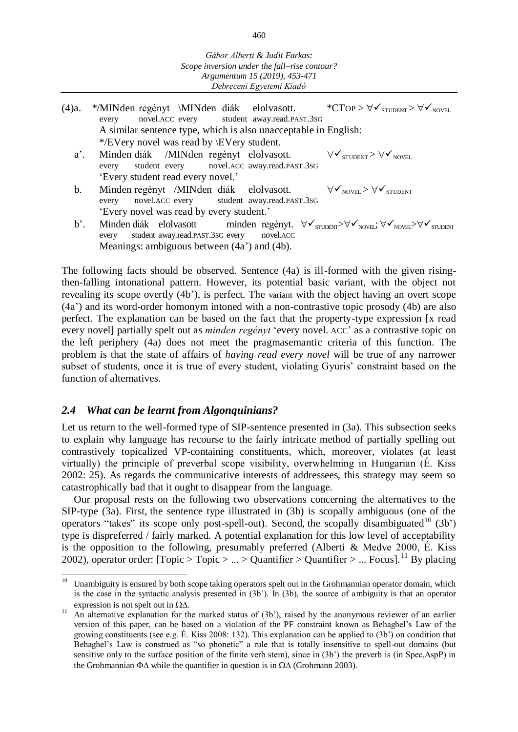| (4)a.  | */MINden regényt \MINden diák elolvasott. *CTOP > $\forall$ $\checkmark$ students > $\forall$ $\checkmark$ Novel<br>every novel.ACC every student away.read.PAST.3SG                                       |
|--------|------------------------------------------------------------------------------------------------------------------------------------------------------------------------------------------------------------|
|        | A similar sentence type, which is also unacceptable in English:                                                                                                                                            |
|        | */EVery novel was read by \EVery student.                                                                                                                                                                  |
| $a'$ . | Minden diák /MINden regényt elolvasott. $\forall \checkmark_{\text{STUDENT}} > \forall \checkmark_{\text{NOVEL}}$<br>every student every novel.ACC away.read.PAST.3SG                                      |
|        | 'Every student read every novel.'                                                                                                                                                                          |
| b.     | Minden regényt /MINden diák elolvasott. $\forall \mathbf{v}_{\text{novEL}} > \forall \mathbf{v}_{\text{stubENT}}$<br>every novel.ACC every student away.read.PAST.3SG                                      |
|        | 'Every novel was read by every student.'                                                                                                                                                                   |
| b'.    | Minden diák elolvasott minden regényt. $\forall \mathbf{v}_{\text{STUDENT}}$ $\forall \mathbf{v}_{\text{NOVEL}}$ ; $\forall \mathbf{v}_{\text{NOVEL}}$<br>every student away.read.PAST.3SG every novel.ACC |

Meanings: ambiguous between (4a') and (4b).

The following facts should be observed. Sentence (4a) is ill-formed with the given risingthen-falling intonational pattern. However, its potential basic variant, with the object not revealing its scope overtly (4b'), is perfect. The variant with the object having an overt scope (4a') and its word-order homonym intoned with a non-contrastive topic prosody (4b) are also perfect. The explanation can be based on the fact that the property-type expression [x read every novel] partially spelt out as *minden regényt* 'every novel. ACC' as a contrastive topic on the left periphery (4a) does not meet the pragmasemantic criteria of this function. The problem is that the state of affairs of *having read every novel* will be true of any narrower subset of students, once it is true of every student, violating Gyuris' constraint based on the function of alternatives.

## *2.4 What can be learnt from Algonquinians?*

Let us return to the well-formed type of SIP-sentence presented in (3a). This subsection seeks to explain why language has recourse to the fairly intricate method of partially spelling out contrastively topicalized VP-containing constituents, which, moreover, violates (at least virtually) the principle of preverbal scope visibility, overwhelming in Hungarian (É. Kiss 2002: 25). As regards the communicative interests of addressees, this strategy may seem so catastrophically bad that it ought to disappear from the language.

Our proposal rests on the following two observations concerning the alternatives to the SIP-type (3a). First, the sentence type illustrated in (3b) is scopally ambiguous (one of the operators "takes" its scope only post-spell-out). Second, the scopally disambiguated<sup>10</sup> (3b') type is dispreferred / fairly marked. A potential explanation for this low level of acceptability is the opposition to the following, presumably preferred (Alberti & Medve 2000, É. Kiss 2002), operator order: [Topic > Topic > ... > Quantifier > Quantifier > ... Focus].<sup>11</sup> By placing

 $10\,$ Unambiguity is ensured by both scope taking operators spelt out in the Grohmannian operator domain, which is the case in the syntactic analysis presented in (3b'). In (3b), the source of ambiguity is that an operator expression is not spelt out in  $\Omega \Delta$ .

<sup>&</sup>lt;sup>11</sup> An alternative explanation for the marked status of (3b'), raised by the anonymous reviewer of an earlier version of this paper, can be based on a violation of the PF constraint known as Behaghel's Law of the growing constituents (see e.g. É. Kiss 2008: 132). This explanation can be applied to (3b') on condition that Behaghel's Law is construed as "so phonetic" a rule that is totally insensitive to spell-out domains (but sensitive only to the surface position of the finite verb stem), since in (3b') the preverb is (in Spec,AspP) in the Grohmannian  $\Phi\Delta$  while the quantifier in question is in  $\Omega\Delta$  (Grohmann 2003).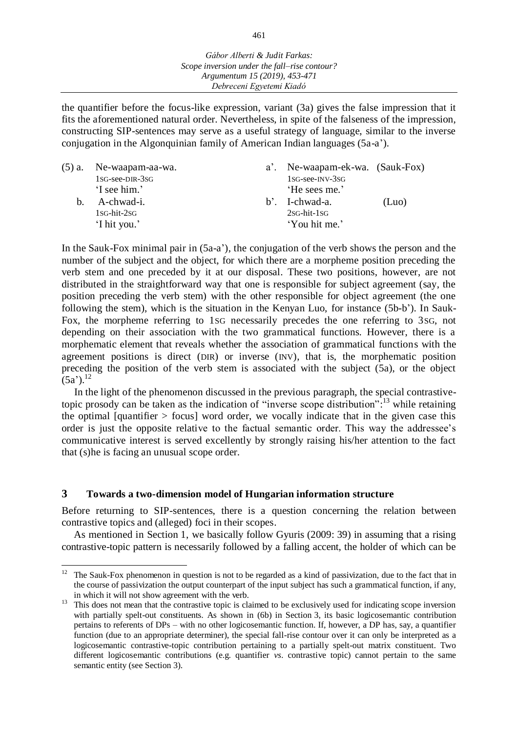the quantifier before the focus-like expression, variant (3a) gives the false impression that it fits the aforementioned natural order. Nevertheless, in spite of the falseness of the impression, constructing SIP-sentences may serve as a useful strategy of language, similar to the inverse conjugation in the Algonquinian family of American Indian languages (5a-a').

| a'. Ne-waapam-ek-wa. (Sauk-Fox) |
|---------------------------------|
|                                 |
|                                 |
| (Luo)                           |
|                                 |
|                                 |
|                                 |

In the Sauk-Fox minimal pair in (5a-a'), the conjugation of the verb shows the person and the number of the subject and the object, for which there are a morpheme position preceding the verb stem and one preceded by it at our disposal. These two positions, however, are not distributed in the straightforward way that one is responsible for subject agreement (say, the position preceding the verb stem) with the other responsible for object agreement (the one following the stem), which is the situation in the Kenyan Luo, for instance (5b-b'). In Sauk-Fox, the morpheme referring to 1SG necessarily precedes the one referring to 3SG, not depending on their association with the two grammatical functions. However, there is a morphematic element that reveals whether the association of grammatical functions with the agreement positions is direct (DIR) or inverse (INV), that is, the morphematic position preceding the position of the verb stem is associated with the subject (5a), or the object  $(5a')$ <sup>12</sup>

In the light of the phenomenon discussed in the previous paragraph, the special contrastivetopic prosody can be taken as the indication of "inverse scope distribution":<sup>13</sup> while retaining the optimal [quantifier  $>$  focus] word order, we vocally indicate that in the given case this order is just the opposite relative to the factual semantic order. This way the addressee's communicative interest is served excellently by strongly raising his/her attention to the fact that (s)he is facing an unusual scope order.

## **3 Towards a two-dimension model of Hungarian information structure**

Before returning to SIP-sentences, there is a question concerning the relation between contrastive topics and (alleged) foci in their scopes.

As mentioned in Section 1, we basically follow Gyuris (2009: 39) in assuming that a rising contrastive-topic pattern is necessarily followed by a falling accent, the holder of which can be

<sup>12</sup> The Sauk-Fox phenomenon in question is not to be regarded as a kind of passivization, due to the fact that in the course of passivization the output counterpart of the input subject has such a grammatical function, if any, in which it will not show agreement with the verb.

<sup>&</sup>lt;sup>13</sup> This does not mean that the contrastive topic is claimed to be exclusively used for indicating scope inversion with partially spelt-out constituents. As shown in (6b) in Section 3, its basic logicosemantic contribution pertains to referents of DPs – with no other logicosemantic function. If, however, a DP has, say, a quantifier function (due to an appropriate determiner), the special fall-rise contour over it can only be interpreted as a logicosemantic contrastive-topic contribution pertaining to a partially spelt-out matrix constituent. Two different logicosemantic contributions (e.g. quantifier *vs*. contrastive topic) cannot pertain to the same semantic entity (see Section 3).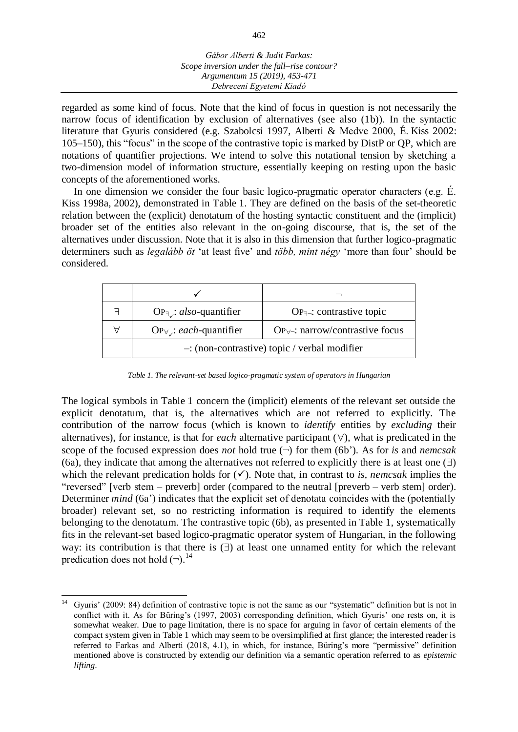regarded as some kind of focus. Note that the kind of focus in question is not necessarily the narrow focus of identification by exclusion of alternatives (see also (1b)). In the syntactic literature that Gyuris considered (e.g. Szabolcsi 1997, Alberti & Medve 2000, É. Kiss 2002: 105–150), this "focus" in the scope of the contrastive topic is marked by DistP or QP, which are notations of quantifier projections. We intend to solve this notational tension by sketching a two-dimension model of information structure, essentially keeping on resting upon the basic concepts of the aforementioned works.

In one dimension we consider the four basic logico-pragmatic operator characters (e.g. É. Kiss 1998a, 2002), demonstrated in Table 1. They are defined on the basis of the set-theoretic relation between the (explicit) denotatum of the hosting syntactic constituent and the (implicit) broader set of the entities also relevant in the on-going discourse, that is, the set of the alternatives under discussion. Note that it is also in this dimension that further logico-pragmatic determiners such as *legalább öt* 'at least five' and *több, mint négy* 'more than four' should be considered.

| ㅋ | $\text{OP}_{\exists}$ : also-quantifier         | $OP_{\exists}$ : contrastive topic                   |  |  |  |  |  |
|---|-------------------------------------------------|------------------------------------------------------|--|--|--|--|--|
| Α | $\text{OP}_{\forall}$ : each-quantifier         | $OP_{\forall\rightarrow}$ : narrow/contrastive focus |  |  |  |  |  |
|   | $-$ : (non-contrastive) topic / verbal modifier |                                                      |  |  |  |  |  |

*Table 1. The relevant-set based logico-pragmatic system of operators in Hungarian*

The logical symbols in Table 1 concern the (implicit) elements of the relevant set outside the explicit denotatum, that is, the alternatives which are not referred to explicitly. The contribution of the narrow focus (which is known to *identify* entities by *excluding* their alternatives), for instance, is that for *each* alternative participant  $(\forall)$ , what is predicated in the scope of the focused expression does *not* hold true  $(\neg)$  for them (6b'). As for *is* and *nemcsak* (6a), they indicate that among the alternatives not referred to explicitly there is at least one  $(\exists)$ which the relevant predication holds for  $(\checkmark)$ . Note that, in contrast to *is*, *nemcsak* implies the "reversed" [verb stem – preverb] order (compared to the neutral [preverb – verb stem] order). Determiner *mind* (6a') indicates that the explicit set of denotata coincides with the (potentially broader) relevant set, so no restricting information is required to identify the elements belonging to the denotatum. The contrastive topic (6b), as presented in Table 1, systematically fits in the relevant-set based logico-pragmatic operator system of Hungarian, in the following way: its contribution is that there is  $(\exists)$  at least one unnamed entity for which the relevant predication does not hold  $(\neg)$ .<sup>14</sup>

 $\overline{a}$ <sup>14</sup> Gyuris' (2009: 84) definition of contrastive topic is not the same as our "systematic" definition but is not in conflict with it. As for Büring's (1997, 2003) corresponding definition, which Gyuris' one rests on, it is somewhat weaker. Due to page limitation, there is no space for arguing in favor of certain elements of the compact system given in Table 1 which may seem to be oversimplified at first glance; the interested reader is referred to Farkas and Alberti (2018, 4.1), in which, for instance, Büring's more "permissive" definition mentioned above is constructed by extendig our definition via a semantic operation referred to as *epistemic lifting*.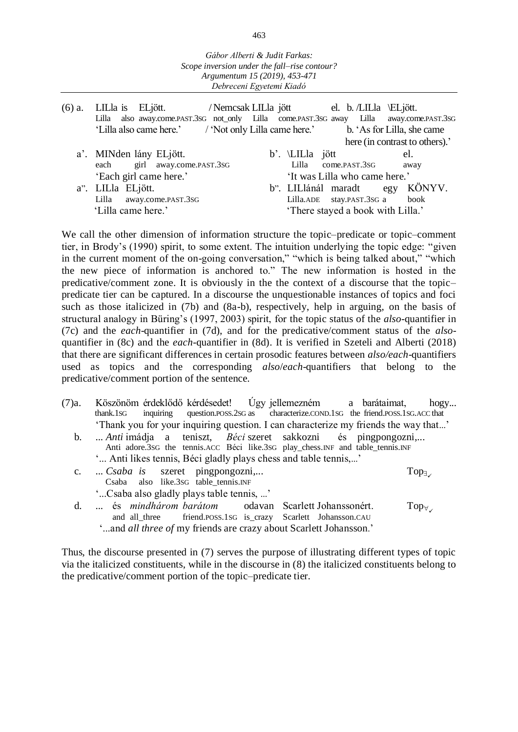- (6) a. LILla is ELjött. / Nemcsak LILla jött el. b. /LILla \ELjött. Lilla also away.come.past.3sG not\_only Lilla come.past.3sG away 'Lilla also came here.' / 'Not only Lilla came here.' b. 'As for Lilla, she came here (in contrast to others).' a'. MINden lány ELjött. b'. LILla jött el. each girl away.come.PAST.3SG Lilla come.PAST.3SG away 'Each girl came here.' 'It was Lilla who came here.'
	-
	- a". LILla ELjött. b". LILlánál maradt egy KÖNYV. Lilla away.come.PAST.3SG Lilla.ADE stay.PAST.3SG a book 'Lilla came here.' 'There stayed a book with Lilla.'

We call the other dimension of information structure the topic–predicate or topic–comment tier, in Brody's (1990) spirit, to some extent. The intuition underlying the topic edge: "given in the current moment of the on-going conversation," "which is being talked about," "which the new piece of information is anchored to." The new information is hosted in the predicative/comment zone. It is obviously in the the context of a discourse that the topic– predicate tier can be captured. In a discourse the unquestionable instances of topics and foci such as those italicized in (7b) and (8a-b), respectively, help in arguing, on the basis of structural analogy in Büring's (1997, 2003) spirit, for the topic status of the *also*-quantifier in (7c) and the *each*-quantifier in (7d), and for the predicative/comment status of the *also*quantifier in (8c) and the *each*-quantifier in (8d). It is verified in Szeteli and Alberti (2018) that there are significant differences in certain prosodic features between *also/each*-quantifiers used as topics and the corresponding *also*/*each*-quantifiers that belong to the predicative/comment portion of the sentence.

- (7)a. Köszönöm érdeklődő kérdésedet! Úgy jellemezném a barátaimat, hogy... thank.1SG inquiring question.POSS.2SG as characterize.COND.1SG the friend.POSS.1SG.ACC that 'Thank you for your inquiring question. I can characterize my friends the way that...'
	- b. ... *Anti* imádja a teniszt, *Béci* szeret sakkozni és pingpongozni,... Anti adore.3SG the tennis.ACC Béci like.3SG play\_chess.INF and table\_tennis.INF '... Anti likes tennis, Béci gladly plays chess and table tennis,...'
	- c. ... *Csaba is* szeret pingpongozni,... Top<sub>3</sub> Csaba also like.3SG table\_tennis.INF
		- '...Csaba also gladly plays table tennis, ...'
	- d. ... és *mindhárom barátom* odavan Scarlett Johanssonért. Top<sub>∀</sup></sub> friend.poss.1sG is\_crazy
		- '...and *all three of* my friends are crazy about Scarlett Johansson.'

Thus, the discourse presented in (7) serves the purpose of illustrating different types of topic via the italicized constituents, while in the discourse in (8) the italicized constituents belong to the predicative/comment portion of the topic–predicate tier.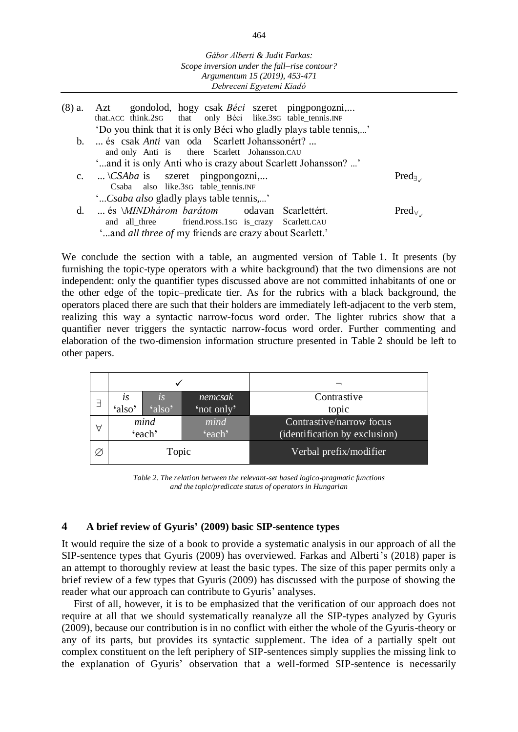| (8) a. Azt gondolod, hogy csak Béci szeret pingpongozni,<br>that.ACC think.2SG that only Béci like.3SG table_tennis.INF |                  |
|-------------------------------------------------------------------------------------------------------------------------|------------------|
| 'Do you think that it is only Béci who gladly plays table tennis,'                                                      |                  |
| b.  és csak Anti van oda Scarlett Johanssonért?                                                                         |                  |
| and only Anti is there Scarlett Johansson.CAU                                                                           |                  |
| 'and it is only Anti who is crazy about Scarlett Johansson? '                                                           |                  |
| c. $\setminus$ CSAba is szeret pingpongozni,                                                                            | $Pred_{\exists}$ |
| Csaba also like.3sG table_tennis.INF                                                                                    |                  |
| "Csaba also gladly plays table tennis,"                                                                                 |                  |
| d.  és <i>MINDhárom barátom</i> odavan Scarlettért.                                                                     | $Pred_{\forall}$ |
| and all_three friend.POSS.1SG is_crazy Scarlett.CAU                                                                     |                  |
| 'and all three of my friends are crazy about Scarlett.'                                                                 |                  |

We conclude the section with a table, an augmented version of Table 1. It presents (by furnishing the topic-type operators with a white background) that the two dimensions are not independent: only the quantifier types discussed above are not committed inhabitants of one or the other edge of the topic–predicate tier. As for the rubrics with a black background, the operators placed there are such that their holders are immediately left-adjacent to the verb stem, realizing this way a syntactic narrow-focus word order. The lighter rubrics show that a quantifier never triggers the syntactic narrow-focus word order. Further commenting and elaboration of the two-dimension information structure presented in Table 2 should be left to other papers.

| Е | LS     | $\overline{l}$ . S | nemcsak    | Contrastive                   |  |  |
|---|--------|--------------------|------------|-------------------------------|--|--|
|   | 'also' | $\Omega$ so'       | 'not only' | topic                         |  |  |
|   | mind   |                    | mind       | Contrastive/narrow focus      |  |  |
|   | 'each' |                    | 'each'     | (identification by exclusion) |  |  |
| Ø |        | Topic              |            | Verbal prefix/modifier        |  |  |

*Table 2. The relation between the relevant-set based logico-pragmatic functions and the topic/predicate status of operators in Hungarian*

#### **4 A brief review of Gyuris' (2009) basic SIP-sentence types**

It would require the size of a book to provide a systematic analysis in our approach of all the SIP-sentence types that Gyuris (2009) has overviewed. Farkas and Alberti's (2018) paper is an attempt to thoroughly review at least the basic types. The size of this paper permits only a brief review of a few types that Gyuris (2009) has discussed with the purpose of showing the reader what our approach can contribute to Gyuris' analyses.

First of all, however, it is to be emphasized that the verification of our approach does not require at all that we should systematically reanalyze all the SIP-types analyzed by Gyuris (2009), because our contribution is in no conflict with either the whole of the Gyuris-theory or any of its parts, but provides its syntactic supplement. The idea of a partially spelt out complex constituent on the left periphery of SIP-sentences simply supplies the missing link to the explanation of Gyuris' observation that a well-formed SIP-sentence is necessarily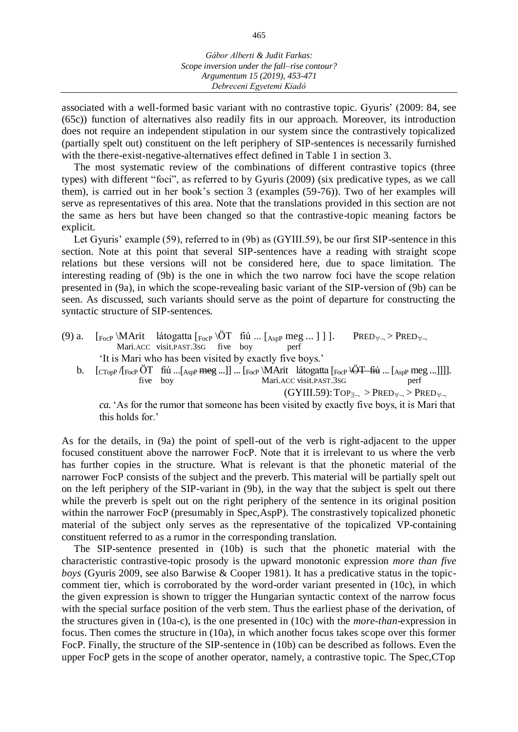associated with a well-formed basic variant with no contrastive topic. Gyuris' (2009: 84, see (65c)) function of alternatives also readily fits in our approach. Moreover, its introduction does not require an independent stipulation in our system since the contrastively topicalized (partially spelt out) constituent on the left periphery of SIP-sentences is necessarily furnished with the there-exist-negative-alternatives effect defined in Table 1 in section 3.

The most systematic review of the combinations of different contrastive topics (three types) with different "foci", as referred to by Gyuris (2009) (six predicative types, as we call them), is carried out in her book's section 3 (examples (59-76)). Two of her examples will serve as representatives of this area. Note that the translations provided in this section are not the same as hers but have been changed so that the contrastive-topic meaning factors be explicit.

Let Gyuris' example (59), referred to in (9b) as (GYIII.59), be our first SIP-sentence in this section. Note at this point that several SIP-sentences have a reading with straight scope relations but these versions will not be considered here, due to space limitation. The interesting reading of (9b) is the one in which the two narrow foci have the scope relation presented in (9a), in which the scope-revealing basic variant of the SIP-version of (9b) can be seen. As discussed, such variants should serve as the point of departure for constructing the syntactic structure of SIP-sentences.

- (9) a.  $\left[ \text{F}_{\text{ocP}} \backslash \text{Matrix} \right]$  látogatta  $\left[ \text{F}_{\text{ocP}} \backslash \text{OT} \right]$  fiú ...  $\left[ \text{A}_{\text{spP}} \text{ meg} \dots \right]$ ]. PRED $\forall \neg$  PRED $\forall \neg$ Mari.ACC visit.PAST.3SG five boy perf 'It is Mari who has been visited by exactly five boys.'
	- b.  $\begin{bmatrix} \frac{1}{2} & \frac{1}{2} \\ \frac{1}{2} & \frac{1}{2} \\ \frac{1}{2} & \frac{1}{2} \end{bmatrix}$  five boy  $\begin{bmatrix} \frac{1}{2} & \frac{1}{2} \\ \frac{1}{2} & \frac{1}{2} \\ \frac{1}{2} & \frac{1}{2} \\ \frac{1}{2} & \frac{1}{2} \end{bmatrix}$  ...  $\begin{bmatrix} \frac{1}{2} & \frac{1}{2} \\ \frac{1}{2} & \frac{1}{2} \\ \frac{1}{2} & \frac{1}{2} \\ \frac{1}{2} & \frac$ Mari.ACC visit.PAST.3SG

 $(GYIII.59)$ : TOP<sub>3-1</sub> > PRED<sub> $\forall$ -1</sub> > PRED<sub> $\forall$ -1</sub>

*ca.* 'As for the rumor that someone has been visited by exactly five boys, it is Mari that this holds for.'

As for the details, in (9a) the point of spell-out of the verb is right-adjacent to the upper focused constituent above the narrower FocP. Note that it is irrelevant to us where the verb has further copies in the structure. What is relevant is that the phonetic material of the narrower FocP consists of the subject and the preverb. This material will be partially spelt out on the left periphery of the SIP-variant in (9b), in the way that the subject is spelt out there while the preverb is spelt out on the right periphery of the sentence in its original position within the narrower FocP (presumably in Spec,AspP). The constrastively topicalized phonetic material of the subject only serves as the representative of the topicalized VP-containing constituent referred to as a rumor in the corresponding translation.

The SIP-sentence presented in (10b) is such that the phonetic material with the characteristic contrastive-topic prosody is the upward monotonic expression *more than five boys* (Gyuris 2009, see also Barwise & Cooper 1981). It has a predicative status in the topiccomment tier, which is corroborated by the word-order variant presented in (10c), in which the given expression is shown to trigger the Hungarian syntactic context of the narrow focus with the special surface position of the verb stem. Thus the earliest phase of the derivation, of the structures given in (10a-c), is the one presented in (10c) with the *more-than*-expression in focus. Then comes the structure in (10a), in which another focus takes scope over this former FocP. Finally, the structure of the SIP-sentence in (10b) can be described as follows. Even the upper FocP gets in the scope of another operator, namely, a contrastive topic. The Spec,CTop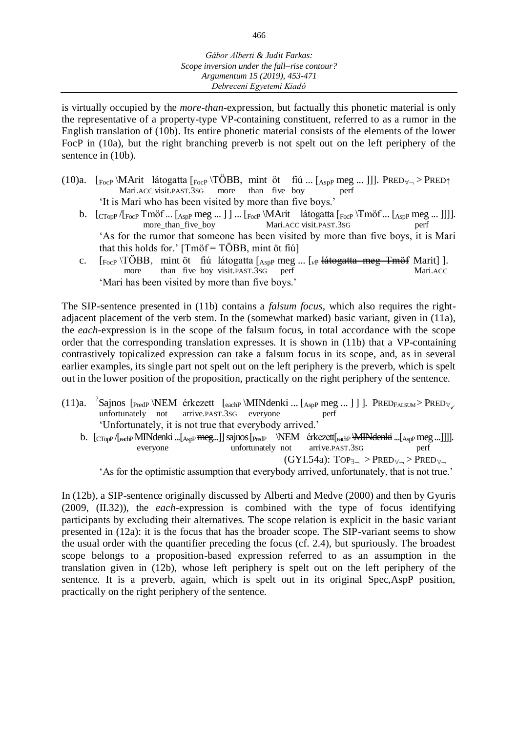is virtually occupied by the *more-than*-expression, but factually this phonetic material is only the representative of a property-type VP-containing constituent, referred to as a rumor in the English translation of (10b). Its entire phonetic material consists of the elements of the lower FocP in (10a), but the right branching preverb is not spelt out on the left periphery of the sentence in  $(10b)$ .

- (10)a.  $\begin{array}{lll} \text{[FocP]}\n\end{array}$ MArit látogatta  $\begin{array}{lll} \text{[FocP]}\n\end{array}$ TÖBB, mint öt fiú ...  $\begin{array}{lll} \text{[AspP meg ... ]} \end{array}$  PRED  $\uparrow$  > PRED  $\uparrow$  Mari.ACC visit.PAST.3SG more than five boy perf Mari.ACC visit.PAST.3SG 'It is Mari who has been visited by more than five boys.'
	- b.  $\left[\frac{CTop}{FocP} \cdot \frac{FocP}{FocP} \cdot \frac{L_{AspP} \cdot FocP}{FocP} \cdot \frac{FocP}{FocP} \cdot \frac{L_{AspP} \cdot FocP}{FocP} \cdot \frac{FocP}{FocP} \cdot \frac{FocP}{FocP} \cdot \frac{FocP}{FocP} \cdot \frac{FocP}{FocP} \cdot \frac{FocP}{FocP} \cdot \frac{FocP}{FocP} \cdot \frac{FocP}{FocP} \cdot \frac{FocP}{FocP} \cdot \frac{FocP}{FocP} \cdot \frac{FocP}{FocP} \cdot \frac{Foc$ Mari.ACC visit.PAST.3SG 'As for the rumor that someone has been visited by more than five boys, it is Mari that this holds for.'  $[Tm\ddot{\sigma}f = TOBB, mint \ddot{\sigma}t \ddot{\sigma}t]$
	- c. [F<sub>ocP</sub> \TÖBB, mint öt fiú látogatta [<sub>AspP</sub> meg ... [<sub>*vP*</sub> <del>látogatta meg Tmöf</del> Marit] ].<br>more than five boy visit.PAST.3SG perf Mari.ACC more than five boy visit.PAST.3 $s$ G 'Mari has been visited by more than five boys.'

The SIP-sentence presented in (11b) contains a *falsum focus*, which also requires the rightadjacent placement of the verb stem. In the (somewhat marked) basic variant, given in (11a), the *each*-expression is in the scope of the falsum focus, in total accordance with the scope order that the corresponding translation expresses. It is shown in (11b) that a VP-containing contrastively topicalized expression can take a falsum focus in its scope, and, as in several earlier examples, its single part not spelt out on the left periphery is the preverb, which is spelt out in the lower position of the proposition, practically on the right periphery of the sentence.

- (11)a. <sup>?</sup>Sajnos [<sub>PredP</sub> \NEM érkezett [<sub>eachP</sub> \MINdenki ... [<sub>AspP</sub> meg ... ] ] ]. PRED<sub>FALSUM</sub> > PRED<sub>V</sub> unfortunately not arrive.PAST.3SG everyone perf 'Unfortunately, it is not true that everybody arrived.'
	- b.  $\left[\frac{C}{C_{\text{Top}}}\right]_{\text{eachP}}$ MINdenki ... $\left[\frac{A_{\text{SDP}}}{A_{\text{SDP}}}$  meg...]]]. everyone unfortunately not arrive.PAST.3SG perf  $(GYI.54a)$ :  $Top_{\exists_{\neg}} > PRED_{\forall_{\neg}} > PRED_{\forall_{\neg}}$

'As for the optimistic assumption that everybody arrived, unfortunately, that is not true.'

In (12b), a SIP-sentence originally discussed by Alberti and Medve (2000) and then by Gyuris (2009, (II.32)), the *each*-expression is combined with the type of focus identifying participants by excluding their alternatives. The scope relation is explicit in the basic variant presented in (12a): it is the focus that has the broader scope. The SIP-variant seems to show the usual order with the quantifier preceding the focus (cf. 2.4), but spuriously. The broadest scope belongs to a proposition-based expression referred to as an assumption in the translation given in (12b), whose left periphery is spelt out on the left periphery of the sentence. It is a preverb, again, which is spelt out in its original Spec,AspP position, practically on the right periphery of the sentence.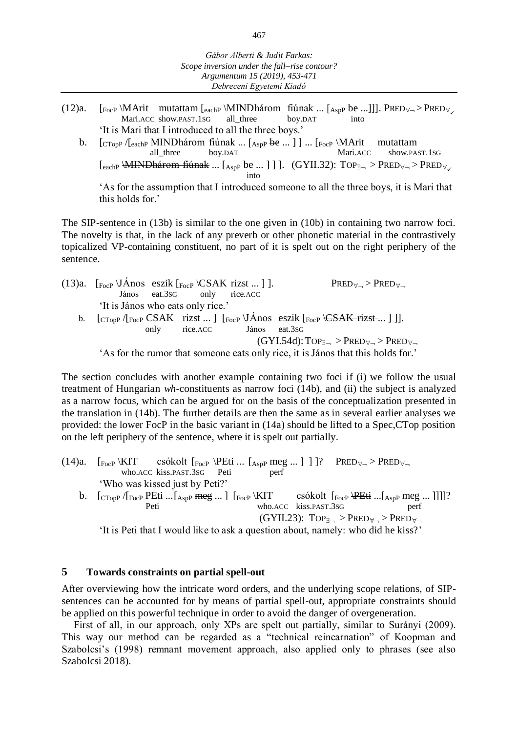- (12)a.  $\left[{}_{\text{FocP}}\right\rangle$ MArit mutattam  $\left[{}_{\text{eachP}}\right\rangle$ MINDhárom fiúnak ...  $\left[{}_{\text{AspP}}\right\rangle$  be ...]]. PRED  $\forall$  > PRED  $\forall$  Mari.ACC show.PAST.1SG all\_three boy.DAT into Mari.ACC show.PAST.1SG 'It is Mari that I introduced to all the three boys.'
	- b.  $\begin{array}{c} \text{[CTop]} \text{/[eachP} \text{MIND} \text{három fúnak ... } \text{[AspP} \text{be ... }] \text{] ... } \text{[FocP} \text{/} \text{MArt} \text{mutattam} \text{all\_three} \text{boy.DAT} \text{Mari.} \text{ACC} \text{show.PA} \end{array}$ all\_three boy.DAT Mari.ACC show.PAST.1SG  $[$ <sub>each</sub>  $\forall$  MINDhárom fiúnak ...  $[$ <sub>Asp</sub> be ... ] ] ]. (GYII.32): TOP<sub>3¬</sub> > PRED<sub> $\forall$ ¬</sub> > PRED<sub> $\forall$ <sub>→</sub></sub> into

'As for the assumption that I introduced someone to all the three boys, it is Mari that this holds for.'

The SIP-sentence in (13b) is similar to the one given in (10b) in containing two narrow foci. The novelty is that, in the lack of any preverb or other phonetic material in the contrastively topicalized VP-containing constituent, no part of it is spelt out on the right periphery of the sentence.

| (13)a. $\lceil_{\text{FocP}} \backslash$ JÁnos eszik $\lceil_{\text{FocP}} \backslash$ CSAK rizst  ] ]. |                             |                               | $PRED_{\forall \neg} > PRED_{\forall \neg}$                                                                                                                                                                                        |
|---------------------------------------------------------------------------------------------------------|-----------------------------|-------------------------------|------------------------------------------------------------------------------------------------------------------------------------------------------------------------------------------------------------------------------------|
|                                                                                                         | János eat.3sG only rice.ACC |                               |                                                                                                                                                                                                                                    |
| 'It is János who eats only rice.'                                                                       |                             |                               |                                                                                                                                                                                                                                    |
|                                                                                                         |                             |                               | b. $\left[\frac{\text{CTop}}{\text{CTop}}\right]\left[\frac{\text{CSAK}}{\text{FocP}}\right]\left[\frac{\text{CSAK}}{\text{FocP}}\right]\left[\frac{\text{CSAK}}{\text{FocP}}\right]\left[\frac{\text{CSAK}}{\text{FocP}}\right].$ |
|                                                                                                         |                             | only rice. ACC János eat. 3sG |                                                                                                                                                                                                                                    |
|                                                                                                         |                             |                               | $(GYI.54d): Top_{\exists_{\neg}} > PRED_{\forall_{\neg}} > PRED_{\forall_{\neg}}$                                                                                                                                                  |
|                                                                                                         |                             |                               | $h_0$ for the group of that game and as a set only nice it is Linear that this holds for $h$                                                                                                                                       |

'As for the rumor that someone eats only rice, it is János that this holds for.'

The section concludes with another example containing two foci if (i) we follow the usual treatment of Hungarian *wh*-constituents as narrow foci (14b), and (ii) the subject is analyzed as a narrow focus, which can be argued for on the basis of the conceptualization presented in the translation in (14b). The further details are then the same as in several earlier analyses we provided: the lower FocP in the basic variant in (14a) should be lifted to a Spec,CTop position on the left periphery of the sentence, where it is spelt out partially.

(14)a.  $\lceil_{\text{FocP}} \backslash \text{KIT} \rceil$  csókolt  $\lceil_{\text{FocP}} \backslash \text{PEti} \dots \rceil$   $\lceil_{\text{AspP}}$  meg ... ] ] ]? PRED  $\forall_{\neg}$  > PRED  $\forall_{\neg}$ who.ACC kiss.PAST.3sG Peti perf 'Who was kissed just by Peti?' b.  $\text{[CTopP / [FocP PEt]} \dots$ [AspP meg ...]  $\text{[FocP / KIT} \text{csokolt } \text{[FocP / PEt} \dots \text{[AspP meg} \dots ]]]$ ]?<br>Peti who.ACC kiss.PAST.3SG perf who.ACC kiss.PAST.3SG perf  $(GYII.23)$ :  $Top_{\exists_{\neg}} > PRED_{\forall_{\neg}} > PRED_{\forall_{\neg}}$ 

'It is Peti that I would like to ask a question about, namely: who did he kiss?'

## **5 Towards constraints on partial spell-out**

After overviewing how the intricate word orders, and the underlying scope relations, of SIPsentences can be accounted for by means of partial spell-out, appropriate constraints should be applied on this powerful technique in order to avoid the danger of overgeneration.

First of all, in our approach, only XPs are spelt out partially, similar to Surányi (2009). This way our method can be regarded as a "technical reincarnation" of Koopman and Szabolcsi's (1998) remnant movement approach, also applied only to phrases (see also Szabolcsi 2018).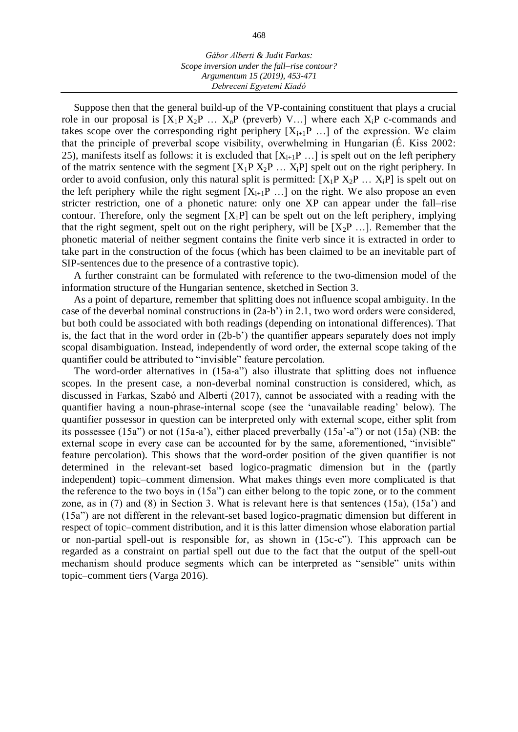Suppose then that the general build-up of the VP-containing constituent that plays a crucial role in our proposal is  $[X_1P X_2P ... X_nP$  (preverb) V...] where each  $X_iP$  c-commands and takes scope over the corresponding right periphery  $[X_{i+1}P \dots]$  of the expression. We claim that the principle of preverbal scope visibility, overwhelming in Hungarian (É. Kiss 2002: 25), manifests itself as follows: it is excluded that  $[X_{i+1}P \dots]$  is spelt out on the left periphery of the matrix sentence with the segment  $[X_1P X_2P ... X_iP]$  spelt out on the right periphery. In order to avoid confusion, only this natural split is permitted:  $[X_1P X_2P ... X_iP]$  is spelt out on the left periphery while the right segment  $[X_{i+1}P \dots]$  on the right. We also propose an even stricter restriction, one of a phonetic nature: only one XP can appear under the fall–rise contour. Therefore, only the segment  $[X_1P]$  can be spelt out on the left periphery, implying that the right segment, spelt out on the right periphery, will be  $[X_2P \dots]$ . Remember that the phonetic material of neither segment contains the finite verb since it is extracted in order to take part in the construction of the focus (which has been claimed to be an inevitable part of SIP-sentences due to the presence of a contrastive topic).

A further constraint can be formulated with reference to the two-dimension model of the information structure of the Hungarian sentence, sketched in Section 3.

As a point of departure, remember that splitting does not influence scopal ambiguity. In the case of the deverbal nominal constructions in  $(2a-b)$  in 2.1, two word orders were considered, but both could be associated with both readings (depending on intonational differences). That is, the fact that in the word order in (2b-b') the quantifier appears separately does not imply scopal disambiguation. Instead, independently of word order, the external scope taking of the quantifier could be attributed to "invisible" feature percolation.

The word-order alternatives in (15a-a") also illustrate that splitting does not influence scopes. In the present case, a non-deverbal nominal construction is considered, which, as discussed in Farkas, Szabó and Alberti (2017), cannot be associated with a reading with the quantifier having a noun-phrase-internal scope (see the 'unavailable reading' below). The quantifier possessor in question can be interpreted only with external scope, either split from its possessee (15a") or not (15a-a'), either placed preverbally (15a'-a") or not (15a) (NB: the external scope in every case can be accounted for by the same, aforementioned, "invisible" feature percolation). This shows that the word-order position of the given quantifier is not determined in the relevant-set based logico-pragmatic dimension but in the (partly independent) topic–comment dimension. What makes things even more complicated is that the reference to the two boys in (15a") can either belong to the topic zone, or to the comment zone, as in (7) and (8) in Section 3. What is relevant here is that sentences (15a), (15a') and (15a") are not different in the relevant-set based logico-pragmatic dimension but different in respect of topic–comment distribution, and it is this latter dimension whose elaboration partial or non-partial spell-out is responsible for, as shown in (15c-c"). This approach can be regarded as a constraint on partial spell out due to the fact that the output of the spell-out mechanism should produce segments which can be interpreted as "sensible" units within topic–comment tiers (Varga 2016).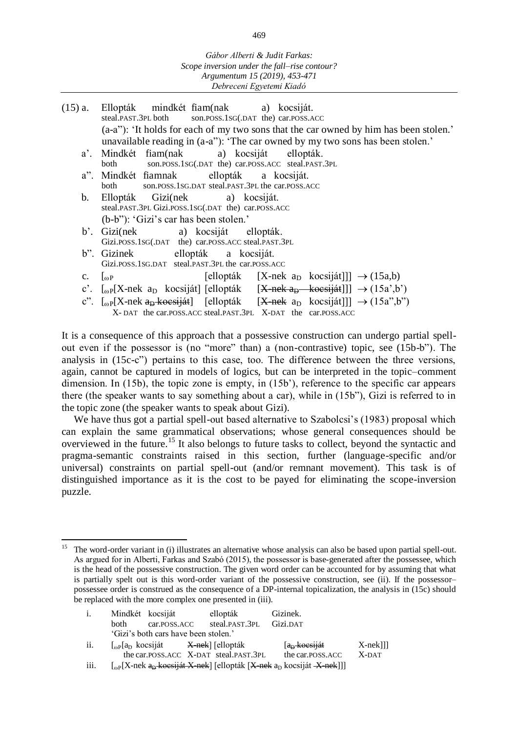| $(15)$ a.      | Ellopták mindkét fiam(nak<br>a) kocsiját.                                                                                |
|----------------|--------------------------------------------------------------------------------------------------------------------------|
|                | steal.PAST.3PL both son.POSS.1SG(.DAT the) car.POSS.ACC                                                                  |
|                | (a-a"): 'It holds for each of my two sons that the car owned by him has been stolen.'                                    |
|                | unavailable reading in (a-a"): 'The car owned by my two sons has been stolen.'                                           |
|                | a'. Mindkét fiam(nak a) kocsiját ellopták.                                                                               |
|                | son.POSS.1SG(.DAT the) car.POSS.ACC steal.PAST.3PL<br>both                                                               |
|                | a". Mindkét fiamnak ellopták a kocsiját.                                                                                 |
|                | son.POSS.1SG.DAT steal.PAST.3PL the car.POSS.ACC<br>both                                                                 |
| $\mathbf{b}$ . | Ellopták Gizi(nek a) kocsiját.                                                                                           |
|                | steal.PAST.3PL Gizi.POSS.1sG(.DAT the) car.POSS.ACC                                                                      |
|                | (b-b"): 'Gizi's car has been stolen.'                                                                                    |
|                | b'. Gizi(nek a) kocsiját ellopták.                                                                                       |
|                | Gizi.POSS.1sG(.DAT the) car.POSS.ACC steal.PAST.3PL                                                                      |
|                | b". Gizinek ellopták a kocsiját.                                                                                         |
|                | Gizi.POSS.1SG.DAT steal.PAST.3PL the car.POSS.ACC                                                                        |
| $\mathbf{C}$ . | [ellopták [X-nek a <sub>D</sub> kocsiját]]] $\rightarrow$ (15a,b)<br>$\mathsf{L}_{\omega}$ P                             |
|                | c'. [ <sub>oP</sub> [X-nek a <sub>D</sub> kocsiját] [ellopták [X-nek a <sub>D</sub> kocsiját]]] $\rightarrow$ (15a',b')  |
|                | c". [ <sub>o</sub> p[X-nek a <sub>D</sub> -koesiját] [ellopták [X-nek a <sub>D</sub> kocsiját]]] $\rightarrow$ (15a",b") |
|                | X-DAT the car.POSS.ACC steal.PAST.3PL X-DAT the car.POSS.ACC                                                             |
|                |                                                                                                                          |

It is a consequence of this approach that a possessive construction can undergo partial spellout even if the possessor is (no "more" than) a (non-contrastive) topic, see (15b-b"). The analysis in (15c-c") pertains to this case, too. The difference between the three versions, again, cannot be captured in models of logics, but can be interpreted in the topic–comment dimension. In (15b), the topic zone is empty, in (15b'), reference to the specific car appears there (the speaker wants to say something about a car), while in (15b"), Gizi is referred to in the topic zone (the speaker wants to speak about Gizi).

We have thus got a partial spell-out based alternative to Szabolcsi's (1983) proposal which can explain the same grammatical observations; whose general consequences should be overviewed in the future.<sup>15</sup> It also belongs to future tasks to collect, beyond the syntactic and pragma-semantic constraints raised in this section, further (language-specific and/or universal) constraints on partial spell-out (and/or remnant movement). This task is of distinguished importance as it is the cost to be payed for eliminating the scope-inversion puzzle.

l <sup>15</sup> The word-order variant in (i) illustrates an alternative whose analysis can also be based upon partial spell-out. As argued for in Alberti, Farkas and Szabó (2015), the possessor is base-generated after the possessee, which is the head of the possessive construction. The given word order can be accounted for by assuming that what is partially spelt out is this word-order variant of the possessive construction, see (ii). If the possessor– possessee order is construed as the consequence of a DP-internal topicalization, the analysis in (15c) should be replaced with the more complex one presented in (iii).

| i.   |      | Mindkét kocsiját                                                                  | ellopták                                  | Gizinek.                                                                                                                                     |            |
|------|------|-----------------------------------------------------------------------------------|-------------------------------------------|----------------------------------------------------------------------------------------------------------------------------------------------|------------|
|      | both | car.POSS.ACC                                                                      | steal.PAST.3PL                            | Gizi.DAT                                                                                                                                     |            |
|      |      | 'Gizi's both cars have been stolen.'                                              |                                           |                                                                                                                                              |            |
| ii.  |      | $\lceil_{\omega} P \rceil$ a <sub>D</sub> kocsiját – <del>X-nek</del> ] [ellopták |                                           | a <sub>p</sub> koesiját                                                                                                                      | $X$ -nek]] |
|      |      |                                                                                   | the car. POSS. ACC X-DAT steal. PAST. 3PL | the car.POSS.ACC                                                                                                                             | X-DAT      |
| iii. |      |                                                                                   |                                           | $\left[{}_{\omega}P[X\text{-nek }a_{D}\text{-koesiját }X\text{-nek}\right]$ [ellopták $[X\text{-nek }a_{D}\text{-kocsiját }X\text{-nek}]]$ ] |            |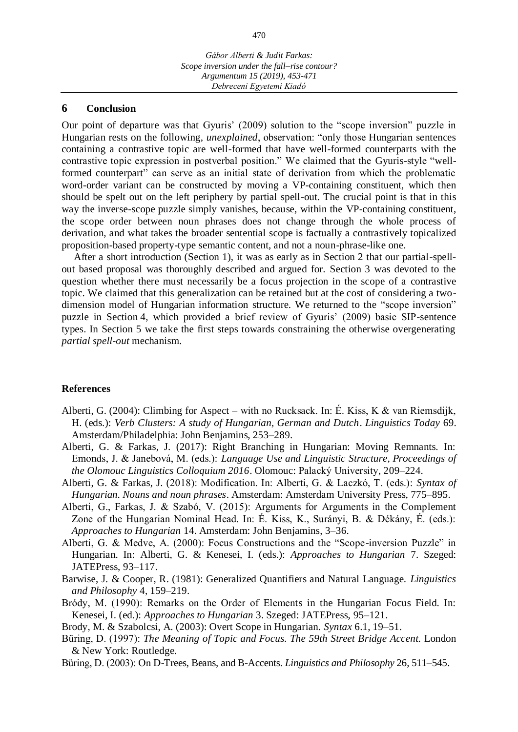*Debreceni Egyetemi Kiadó*

#### **6 Conclusion**

Our point of departure was that Gyuris' (2009) solution to the "scope inversion" puzzle in Hungarian rests on the following, *unexplained*, observation: "only those Hungarian sentences containing a contrastive topic are well-formed that have well-formed counterparts with the contrastive topic expression in postverbal position." We claimed that the Gyuris-style "wellformed counterpart" can serve as an initial state of derivation from which the problematic word-order variant can be constructed by moving a VP-containing constituent, which then should be spelt out on the left periphery by partial spell-out. The crucial point is that in this way the inverse-scope puzzle simply vanishes, because, within the VP-containing constituent, the scope order between noun phrases does not change through the whole process of derivation, and what takes the broader sentential scope is factually a contrastively topicalized proposition-based property-type semantic content, and not a noun-phrase-like one.

After a short introduction (Section 1), it was as early as in Section 2 that our partial-spellout based proposal was thoroughly described and argued for. Section 3 was devoted to the question whether there must necessarily be a focus projection in the scope of a contrastive topic. We claimed that this generalization can be retained but at the cost of considering a twodimension model of Hungarian information structure. We returned to the "scope inversion" puzzle in Section 4, which provided a brief review of Gyuris' (2009) basic SIP-sentence types. In Section 5 we take the first steps towards constraining the otherwise overgenerating *partial spell-out* mechanism.

#### **References**

- Alberti, G. (2004): Climbing for Aspect with no Rucksack. In: É. Kiss, K & van Riemsdijk, H. (eds.): *Verb Clusters: A study of Hungarian, German and Dutch*. *Linguistics Today* 69. Amsterdam/Philadelphia: John Benjamins, 253–289.
- Alberti, G. & Farkas, J. (2017): Right Branching in Hungarian: Moving Remnants. In: Emonds, J. & Janebová, M. (eds.): *Language Use and Linguistic Structure, Proceedings of the Olomouc Linguistics Colloquium 2016*. Olomouc: Palacký University, 209–224.
- Alberti, G. & Farkas, J. (2018): Modification. In: Alberti, G. & Laczkó, T. (eds.): *Syntax of Hungarian. Nouns and noun phrases*. Amsterdam: Amsterdam University Press, 775–895.
- Alberti, G., Farkas, J. & Szabó, V. (2015): Arguments for Arguments in the Complement Zone of the Hungarian Nominal Head. In: É. Kiss, K., Surányi, B. & Dékány, É. (eds.): *Approaches to Hungarian* 14. Amsterdam: John Benjamins, 3–36.
- Alberti, G. & Medve, A. (2000): Focus Constructions and the "Scope-inversion Puzzle" in Hungarian. In: Alberti, G. & Kenesei, I. (eds.): *Approaches to Hungarian* 7. Szeged: JATEPress, 93–117.
- Barwise, J. & Cooper, R. (1981): Generalized Quantifiers and Natural Language. *Linguistics and Philosophy* 4, 159–219.
- Bródy, M. (1990): Remarks on the Order of Elements in the Hungarian Focus Field. In: Kenesei, I. (ed.): *Approaches to Hungarian* 3. Szeged: JATEPress, 95–121.
- Brody, M. & Szabolcsi, A. (2003): Overt Scope in Hungarian. *Syntax* 6.1, 19–51.
- Büring, D. (1997): *The Meaning of Topic and Focus. The 59th Street Bridge Accent.* London & New York: Routledge.
- Büring, D. (2003): On D-Trees, Beans, and B-Accents. *Linguistics and Philosophy* 26, 511–545.